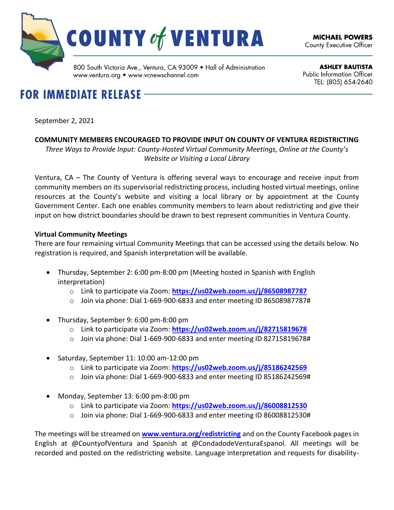

www.ventura.org • www.vcnewschannel.com

**ASHLEY BAUTISTA** Public Information Officer TEL: (805) 654 2640

# **FOR IMMEDIATE RELEASE -**

September 2, 2021

## **COMMUNITY MEMBERS ENCOURAGED TO PROVIDE INPUT ON COUNTY OF VENTURA REDISTRICTING**

*Three Ways to Provide Input: County-Hosted Virtual Community Meetings, Online at the County's Website or Visiting a Local Library*

Ventura, CA – The County of Ventura is offering several ways to encourage and receive input from community members on its supervisorial redistricting process, including hosted virtual meetings, online resources at the County's website and visiting a local library or by appointment at the County Government Center. Each one enables community members to learn about redistricting and give their input on how district boundaries should be drawn to best represent communities in Ventura County.

### **Virtual Community Meetings**

There are four remaining virtual Community Meetings that can be accessed using the details below. No registration is required, and Spanish interpretation will be available.

- Thursday, September 2: 6:00 pm-8:00 pm (Meeting hosted in Spanish with English interpretation)
	- o Link to participate via Zoom: **<https://us02web.zoom.us/j/86508987787>**
	- o Join via phone: Dial 1-669-900-6833 and enter meeting ID 86508987787#
- Thursday, September 9: 6:00 pm-8:00 pm
	- o Link to participate via Zoom: **<https://us02web.zoom.us/j/82715819678>**
	- o Join via phone: Dial 1-669-900-6833 and enter meeting ID 82715819678#
- Saturday, September 11: 10:00 am-12:00 pm
	- o Link to participate via Zoom: **<https://us02web.zoom.us/j/85186242569>**
	- o Join via phone: Dial 1-669-900-6833 and enter meeting ID 85186242569#
- Monday, September 13: 6:00 pm-8:00 pm
	- o Link to participate via Zoom: **<https://us02web.zoom.us/j/86008812530>**
	- o Join via phone: Dial 1-669-900-6833 and enter meeting ID 86008812530#

The meetings will be streamed on **[www.ventura.org/redistricting](http://www.ventura.org/redistricting)** and on the County Facebook pages in English at @CountyofVentura and Spanish at @CondadodeVenturaEspanol. All meetings will be recorded and posted on the redistricting website. Language interpretation and requests for disability-